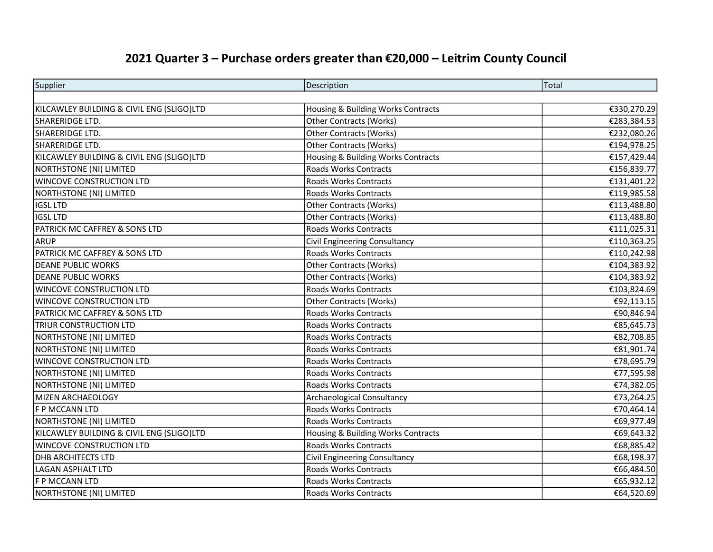## 2021 Quarter 3 – Purchase orders greater than €20,000 – Leitrim County Council

| Supplier                                  | Description                        | Total       |
|-------------------------------------------|------------------------------------|-------------|
|                                           |                                    |             |
| KILCAWLEY BUILDING & CIVIL ENG (SLIGO)LTD | Housing & Building Works Contracts | €330,270.29 |
| SHARERIDGE LTD.                           | Other Contracts (Works)            | €283,384.53 |
| SHARERIDGE LTD.                           | Other Contracts (Works)            | €232,080.26 |
| SHARERIDGE LTD.                           | <b>Other Contracts (Works)</b>     | €194,978.25 |
| KILCAWLEY BUILDING & CIVIL ENG (SLIGO)LTD | Housing & Building Works Contracts | €157,429.44 |
| <b>NORTHSTONE (NI) LIMITED</b>            | Roads Works Contracts              | €156,839.77 |
| WINCOVE CONSTRUCTION LTD                  | <b>Roads Works Contracts</b>       | €131,401.22 |
| NORTHSTONE (NI) LIMITED                   | <b>Roads Works Contracts</b>       | €119,985.58 |
| IGSL LTD                                  | Other Contracts (Works)            | €113,488.80 |
| IGSL LTD                                  | Other Contracts (Works)            | €113,488.80 |
| PATRICK MC CAFFREY & SONS LTD             | <b>Roads Works Contracts</b>       | €111,025.31 |
| ARUP                                      | Civil Engineering Consultancy      | €110,363.25 |
| <b>PATRICK MC CAFFREY &amp; SONS LTD</b>  | <b>Roads Works Contracts</b>       | €110,242.98 |
| <b>DEANE PUBLIC WORKS</b>                 | <b>Other Contracts (Works)</b>     | €104,383.92 |
| <b>DEANE PUBLIC WORKS</b>                 | Other Contracts (Works)            | €104,383.92 |
| <b>WINCOVE CONSTRUCTION LTD</b>           | Roads Works Contracts              | €103,824.69 |
| WINCOVE CONSTRUCTION LTD                  | Other Contracts (Works)            | €92,113.15  |
| <b>PATRICK MC CAFFREY &amp; SONS LTD</b>  | <b>Roads Works Contracts</b>       | €90,846.94  |
| <b>TRIUR CONSTRUCTION LTD</b>             | <b>Roads Works Contracts</b>       | €85,645.73  |
| NORTHSTONE (NI) LIMITED                   | <b>Roads Works Contracts</b>       | €82,708.85  |
| NORTHSTONE (NI) LIMITED                   | Roads Works Contracts              | €81,901.74  |
| WINCOVE CONSTRUCTION LTD                  | <b>Roads Works Contracts</b>       | €78,695.79  |
| <b>NORTHSTONE (NI) LIMITED</b>            | <b>Roads Works Contracts</b>       | €77,595.98  |
| NORTHSTONE (NI) LIMITED                   | <b>Roads Works Contracts</b>       | €74,382.05  |
| MIZEN ARCHAEOLOGY                         | <b>Archaeological Consultancy</b>  | €73,264.25  |
| F P MCCANN LTD                            | <b>Roads Works Contracts</b>       | €70,464.14  |
| NORTHSTONE (NI) LIMITED                   | <b>Roads Works Contracts</b>       | €69,977.49  |
| KILCAWLEY BUILDING & CIVIL ENG (SLIGO)LTD | Housing & Building Works Contracts | €69,643.32  |
| <b>WINCOVE CONSTRUCTION LTD</b>           | Roads Works Contracts              | €68,885.42  |
| <b>DHB ARCHITECTS LTD</b>                 | Civil Engineering Consultancy      | €68,198.37  |
| <b>LAGAN ASPHALT LTD</b>                  | <b>Roads Works Contracts</b>       | €66,484.50  |
| F P MCCANN LTD                            | <b>Roads Works Contracts</b>       | €65,932.12  |
| NORTHSTONE (NI) LIMITED                   | Roads Works Contracts              | €64,520.69  |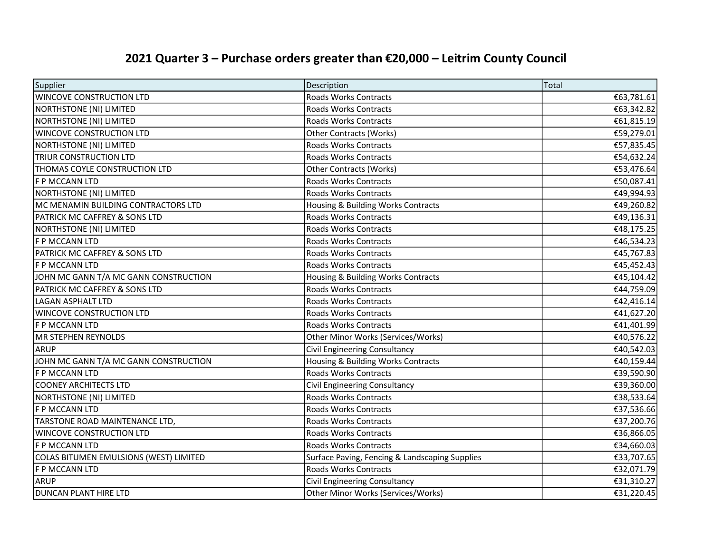## 2021 Quarter 3 – Purchase orders greater than €20,000 – Leitrim County Council

| Supplier                                 | Description                                    | Total      |
|------------------------------------------|------------------------------------------------|------------|
| <b>WINCOVE CONSTRUCTION LTD</b>          | <b>Roads Works Contracts</b>                   | €63,781.61 |
| NORTHSTONE (NI) LIMITED                  | Roads Works Contracts                          | €63,342.82 |
| NORTHSTONE (NI) LIMITED                  | Roads Works Contracts                          | €61,815.19 |
| <b>WINCOVE CONSTRUCTION LTD</b>          | <b>Other Contracts (Works)</b>                 | €59,279.01 |
| NORTHSTONE (NI) LIMITED                  | Roads Works Contracts                          | €57,835.45 |
| <b>TRIUR CONSTRUCTION LTD</b>            | Roads Works Contracts                          | €54,632.24 |
| THOMAS COYLE CONSTRUCTION LTD            | <b>Other Contracts (Works)</b>                 | €53,476.64 |
| F P MCCANN LTD                           | Roads Works Contracts                          | €50,087.41 |
| NORTHSTONE (NI) LIMITED                  | <b>Roads Works Contracts</b>                   | €49,994.93 |
| MC MENAMIN BUILDING CONTRACTORS LTD      | Housing & Building Works Contracts             | €49,260.82 |
| <b>PATRICK MC CAFFREY &amp; SONS LTD</b> | <b>Roads Works Contracts</b>                   | €49,136.31 |
| NORTHSTONE (NI) LIMITED                  | Roads Works Contracts                          | €48,175.25 |
| F P MCCANN LTD                           | <b>Roads Works Contracts</b>                   | €46,534.23 |
| PATRICK MC CAFFREY & SONS LTD            | <b>Roads Works Contracts</b>                   | €45,767.83 |
| F P MCCANN LTD                           | Roads Works Contracts                          | €45,452.43 |
| JOHN MC GANN T/A MC GANN CONSTRUCTION    | Housing & Building Works Contracts             | €45,104.42 |
| <b>PATRICK MC CAFFREY &amp; SONS LTD</b> | <b>Roads Works Contracts</b>                   | €44,759.09 |
| LAGAN ASPHALT LTD                        | <b>Roads Works Contracts</b>                   | €42,416.14 |
| <b>WINCOVE CONSTRUCTION LTD</b>          | <b>Roads Works Contracts</b>                   | €41,627.20 |
| F P MCCANN LTD                           | <b>Roads Works Contracts</b>                   | €41,401.99 |
| MR STEPHEN REYNOLDS                      | Other Minor Works (Services/Works)             | €40,576.22 |
| ARUP                                     | Civil Engineering Consultancy                  | €40,542.03 |
| JOHN MC GANN T/A MC GANN CONSTRUCTION    | Housing & Building Works Contracts             | €40,159.44 |
| F P MCCANN LTD                           | <b>Roads Works Contracts</b>                   | €39,590.90 |
| COONEY ARCHITECTS LTD                    | Civil Engineering Consultancy                  | €39,360.00 |
| NORTHSTONE (NI) LIMITED                  | <b>Roads Works Contracts</b>                   | €38,533.64 |
| F P MCCANN LTD                           | <b>Roads Works Contracts</b>                   | €37,536.66 |
| TARSTONE ROAD MAINTENANCE LTD,           | Roads Works Contracts                          | €37,200.76 |
| <b>WINCOVE CONSTRUCTION LTD</b>          | <b>Roads Works Contracts</b>                   | €36,866.05 |
| F P MCCANN LTD                           | Roads Works Contracts                          | €34,660.03 |
| COLAS BITUMEN EMULSIONS (WEST) LIMITED   | Surface Paving, Fencing & Landscaping Supplies | €33,707.65 |
| F P MCCANN LTD                           | <b>Roads Works Contracts</b>                   | €32,071.79 |
| ARUP                                     | Civil Engineering Consultancy                  | €31,310.27 |
| <b>DUNCAN PLANT HIRE LTD</b>             | Other Minor Works (Services/Works)             | €31,220.45 |